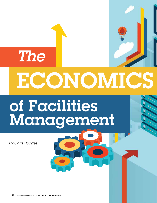# ECONOMICS *The*

## of Facilities Management

*By Chris Hodges*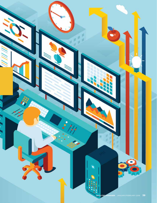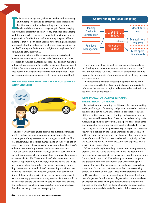In facilities management, when we need to address money and funding, we tend to go directly to those topics most familiar to us: capital and operating budgets, funding levels, and the monetary savings we gain from managing n facilities management, when we need to address money and funding, we tend to go directly to those topics most familiar to us: capital and operating budgets, funding levels, and the monetary savings we gain from managing facilities tends to keep us locked into a tactical view of how our organizations fund facilities and how money is spent. What's missing is that we don't often address how funding decisions are made, and what the motivations are behind those decisions. Instead of framing our decisions around *finance*, maybe we should be thinking about *economics*.

Economics, defined at the macroeconomic level, is about how we use resources and how we make decisions about those resources. In facilities management, economic decision making is influenced by a number of factors that we ignore at our own peril. Politics, favoritism, economic acumen, and human bias all influence decision making when it comes to spending money. Those biases do not disappear when we get to the organizational level.

#### **BUYING NEW OR MAINTAINING: WHAT YOU WANT VS. WHAT YOU NEED**



The most widely recognized bias we see in facilities management is the bias our organizations and stakeholders have in choosing something new over maintaining what we have. This bias is not unique to facilities management. In fact, we all experience it in everyday life. A colleague once pointed out that there's only one reason we buy a new car—*because we want one!*

We can spend a lot of time creating a business case for a new car, but maintaining what we already have is almost always more economically feasible. There are a lot of other reasons to buy a new car: dependability, fuel savings, enhanced safety, and image, just to name a few. But rarely is the reason financially compelling. In fact, we can spend a lot of time creating a business case justifying the purchase of a new car, but few of us stretch the limits of the expected service life of the car we already have. If we were more aggressive at extending service life, there would be far fewer car dealers and fewer new cars on those new car lots. The motivation to pick *new* over *maintain* is strong; however, that choice usually comes at a steeper price.

#### **Capital and Operational Budgeting**



This same type of bias in facilities management often skews our funding mechanisms away from maintenance and toward new and renovated facilities. This creates competition for funding, and the proponents of maintaining what we already have are at a disadvantage.

We know intuitively that investing in operations and maintenance increases the life of our physical assets and positively influences the amount of capital dollars needed to maintain our facilities. How do we prove it?

#### **OPERATIONAL VS. CAPITAL BUDGETS: THE DEPRECIATION MODEL**

Let's start by understanding the difference between operating and capital budgets. Operating budgets are required to maintain facilities on a day-to-day basis. This includes expenses such as utilities, routine maintenance, cleaning, trash removal, and anything that would be considered "used-up" on a day-to-day basis. Accounting principles govern what time periods are considered appropriate for operational expenses, and are largely driven by the taxing authority in any given country or region. An *accounting period* is defined by the taxing authority, and is associated with the end of the period when our taxes are due—one year for most of the world. Capital costs are those that typically outlast the accounting period. In most cases, they are expenses with a service life in excess of one year.

When considering how to levy taxes on a revenue-generating organization, the taxing authority will allow the deduction of operating expenses against revenue earned in order to determine "profits," which are taxed. From the organization's standpoint, the greater the amount of expenses that are counted against revenue, the lower the tax burden. The challenge remains how we account for an asset that lasts more than one accounting period, or more than one year. That's where depreciation comes in. Depreciation is a way of accounting for the annualized portion of expenses. In other words, depreciation is the annual cost of a capitalized asset. The figure below depicts a single capital expense (in the year 2017) as the top bucket. The small buckets represent the annual depreciable portion of that asset in any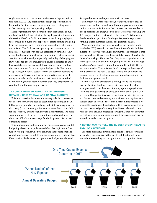single year (from 2017 to as long as the asset is depreciated, in this case 2021). Many organizations assign depreciation costs back to the facilities management group, thus creating a noncash expense against the operating budget.

Most organizations have a schedule that lists dozens to hundreds of capitalized assets that are being depreciated throughout the service life of the facility the asset serves. In any single year, there would be a number of depreciable assets coming and going from the schedule, each remaining as long as the asset is being depreciated. The facilities manager may not have control, and in some cases, may not even see the depreciation schedule. However, a fundamental knowledge of how capital assets are depreciated is valuable knowledge, especially in this day of changing tax laws. Although tax law changes would not be expected to affect how capital assets are managed, there may be nuances in how they are accounted for in the capital budget cycle. This model of operating and capital costs serves as the basis for accounting practice, regardless of whether the organization is a for-profit entity or not-for-profit. At the most basic level, it is a method of annualizing capital expenditures so that they are properly accounted for in the year they are used.

#### **THE CHALLENGE: SHOWING THE RELATIONSHIP BETWEEN OPERATIONAL AND CAPITAL BUDGETS**

This is an oversimplification in many regards, but it serves as the baseline for why we need to account for operating and capital budgets separately. The challenge in facilities management is that many (if not most) organizations separate the accountability for the "buckets," even though they are closely related. The more separation we create between operational and capital budgeting, the more difficult it is to manage for the long-term life cycle of our facility assets.

This fundamental understanding of operational versus capital budgeting allows us to apply some defendable logic to the "intuition" we experience when we conclude that operational and capital budgets are related. In our bucket example, it follows that if we continually decrease our operational budget, our demand

for capital renewal and replacement will increase.

Equipment will wear out sooner, breakdowns due to lack of maintenance will occur, and we will require greater amounts of capital to maintain facilities at the same service level we desire. The opposite is also true; when we decrease capital spending, we defer major (capital) repairs and replacements. This increases the demand for operational funding to keep older equipment running. It also increases the risk of equipment failure.

Many organizations use metrics such as the Facility Condition Index (FCI) to track the overall condition of their facilities in relation to capital spending requirements. The problem is that metrics such as FCI are trend-based; it takes years of tracking to show relationships. There are few if any industry guidelines that relate operational and capital budgeting. In *The Facility Management Handbook,* (fourth edition, Roper and Payant, 2014), the authors state that "Depreciation should be kept in the range of 6 to 8 percent of the capital budget." This is one of the few citations we see in the literature about operational spending in the facilities management world.

As most facilities professionals know, proving the business case for facilities funding is easier said than done. It's a longterm process that involves lots of money spent on physical assessment, data-gathering, analysis, and, most of all—time. Capital renewal budgeting involves estimation of service life, present and future costs, and operating and maintenance requirements that are often uncertain. There is some risk in this process if we are unable to estimate these factors with a reasonable degree of certainty. Knowledge of our cognitive biases tells us that new wins out over old, and projecting savings that may not occur for several years puts us at a disadvantage if the cost savings are not immediate and easy to recognize.

#### **A BETTER WAY TO TELL THE BUDGET STORY: FRAMING AND LOSS AVERSION**

For more successful investment in facilities at the economics level, what is needed is a better way to tell the story. A fundamental understanding and recognition of our cognitive biases

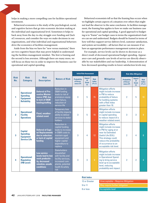helps in making a more compelling case for facilities operational investment.

Behavioral economics is the study of the psychological, social, and cognitive factors that go into economic decision making at the individual and organizational level. Sometimes it helps to back away from the day-to-day struggle over funding and (lack of) resources, and consider the ways we make decisions in our organizations, and what individual and organizational behaviors drive the economics of facilities management.

Aside from the bias we have for "new versus maintain," there are two cognitive biases that may prove helpful in understanding the facilities management mindset. The first is framing and the second is loss aversion. Although there are many more, we will focus on these two in order to improve the business case for operational and capital spending.

Behavioral economists tell us that the framing bias occurs when we highlight certain aspects of a situation over others that might not lead the observer to the same conclusion. In facilities management, the framing bias applies to how we make our business case for operational and capital spending. A good approach to budgeting is to "frame" our budget cases in terms the organization's leaders can see and understand. Budgets should be framed in terms of how well they support service delivery level, customer satisfaction, and system serviceability—all factors that we can measure if we have an appropriate performance management system in place.

For example, service levels can be shown to decrease as a direct result of decreased operational budget spending. Appearance-care and grounds-care levels of service are directly observable by our stakeholders and our leadership. A demonstration of how decreased spending results in lower satisfaction levels may

| <b>Risk</b><br>No. | <b>Risk</b><br><b>Category</b>                                                   | <b>Risk</b><br><b>Description</b>                                                                                       | <b>Nature of Risk</b>                                                                                                                                           | <b>Initial Risk Assessment</b>              |                                            |                                        |                                                                                                                                                                                                                            | <b>Risk (After Mitigation)</b>              |                                                      |                                               |
|--------------------|----------------------------------------------------------------------------------|-------------------------------------------------------------------------------------------------------------------------|-----------------------------------------------------------------------------------------------------------------------------------------------------------------|---------------------------------------------|--------------------------------------------|----------------------------------------|----------------------------------------------------------------------------------------------------------------------------------------------------------------------------------------------------------------------------|---------------------------------------------|------------------------------------------------------|-----------------------------------------------|
|                    |                                                                                  |                                                                                                                         |                                                                                                                                                                 | <b>Probability</b><br>of Occur-<br>rence(P) | <b>Impact</b><br>of<br><b>Event</b><br>(1) | <b>Risk</b><br>Index<br>$(P \times I)$ | <b>Mitigation</b>                                                                                                                                                                                                          | <b>Probability</b><br>of Occur-<br>rence(P) | <b>Impact</b><br>$\mathbf{a}$<br><b>Event</b><br>(1) | <b>Risk</b><br><b>Index</b><br>$(P \times I)$ |
| 1                  | <b>Operational</b><br><b>Spending:</b><br><b>Equipment</b><br><b>Reliability</b> | <b>Deferral of Pre-</b><br><b>ventive Mainte-</b><br>nance (PM) due<br>to lack of O&M<br>funding/staffing               | <b>Reduction in</b><br>0&M funding<br>leads to risk of<br>premature equip-<br>ment failure,<br>reduction of<br>service life                                     | 3                                           | 5                                          | 15                                     | <b>Mitigation efforts</b><br>might include increase<br>in PM to reduce<br>probability of failure<br>for building systems<br>with a Risk Index<br>greater than 10.                                                          | $\overline{2}$                              | 5                                                    | 10 <sup>1</sup>                               |
| $\overline{2}$     | <b>Operational:</b><br><b>Facility</b><br><b>Operations</b>                      | Flood, weather-<br>related event                                                                                        | <b>Temporary loss</b><br>of facility impacts<br>ability to deliver<br>services to stake-<br>holders                                                             | 3                                           | 5                                          | 15                                     | <b>Mitigation efforts</b><br>might include increase<br>in capital spending<br>to reduce <i>impact</i> of a<br>weather-related event.                                                                                       | 3                                           | 3                                                    | $\overline{9}$                                |
| 3                  | <b>Capital</b><br><b>Spending:</b><br><b>Equipment</b><br><b>Service Life</b>    | <b>Deferral of Capi-</b><br>tal Replacements<br>due to reduction<br>or lack of capital<br>funding                       | <b>Reduction in</b><br>capital funding<br>leads to increase<br>in 0&M costs to<br>maintain aged<br>equipment and<br>higher capital<br>expenditure to<br>replace | 3                                           | 4                                          | 12 <sup>°</sup>                        | <b>Mitigation efforts</b><br>might include increase<br>in PM for aging at or<br>near its Estimated<br>Useful Life (EUL).<br>This strategy could<br>reduce the probability<br>of occurrence to an<br>acceptable risk level. | $\overline{2}$                              | 4                                                    | 8                                             |
| 4                  | <b>Operational:</b><br><b>Reputation</b><br>(FM Level)                           | <b>Low service</b><br>levels lead to low<br>work productiv-<br>ity, decreased<br>retention, unsafe<br><b>conditions</b> | <b>Stakeholders</b><br>dissatisfied<br>with facility and<br>facility services,<br>increased com-<br>plaints, potential<br>health & safety<br>risk               | 3                                           | 3                                          | $\overline{9}$                         | <b>Mitigation efforts</b><br>might include increase<br>in Operational Spend-<br>ing to bring service<br>level up to acceptable<br>level, reducing<br>probability and impact.                                               | $\overline{2}$                              | $\overline{2}$                                       | $\overline{a}$                                |

#### **Risk Index**

| 12 or Greater | Unacceptable-Requires Mitigation |  |  |  |  |  |
|---------------|----------------------------------|--|--|--|--|--|
| 9 to 11       | May require further mitigation   |  |  |  |  |  |
| 8 or less     | Acceptable level                 |  |  |  |  |  |